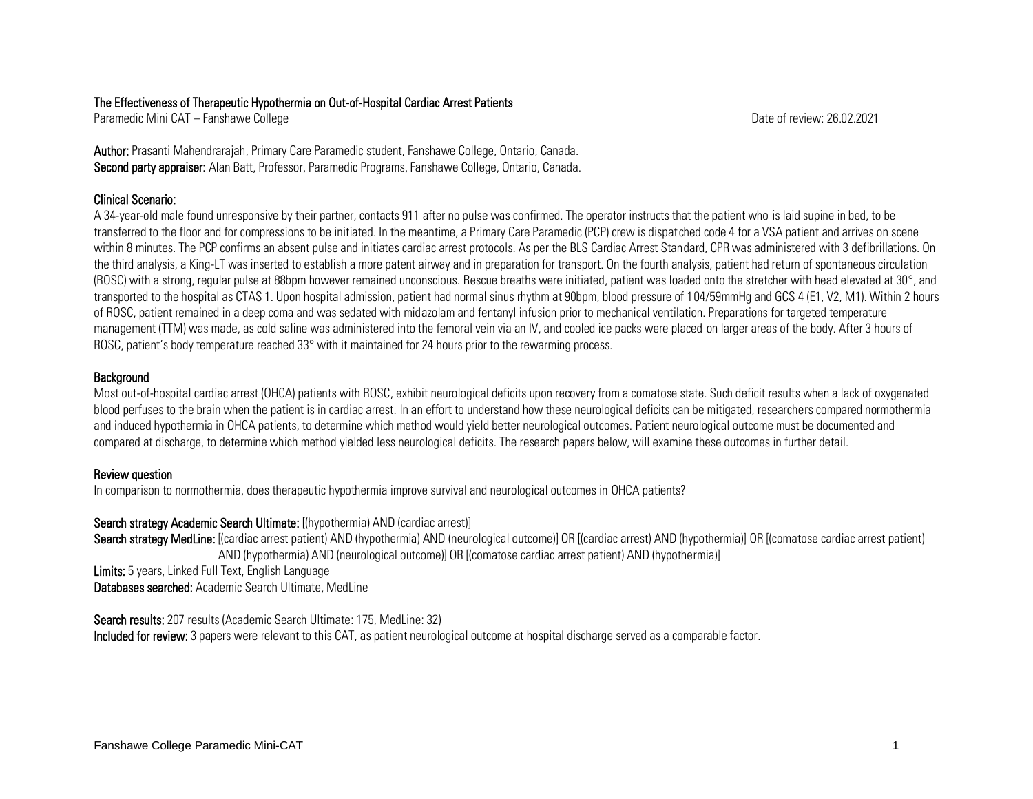## The Effectiveness of Therapeutic Hypothermia on Out-of-Hospital Cardiac Arrest Patients

Paramedic Mini CAT – Fanshawe College Date of review: 26.02.2021

Author: Prasanti Mahendrarajah, Primary Care Paramedic student, Fanshawe College, Ontario, Canada. Second party appraiser: Alan Batt, Professor, Paramedic Programs, Fanshawe College, Ontario, Canada.

# Clinical Scenario:

A 34-year-old male found unresponsive by their partner, contacts 911 after no pulse was confirmed. The operator instructs that the patient who is laid supine in bed, to be transferred to the floor and for compressions to be initiated. In the meantime, a Primary Care Paramedic (PCP) crew is dispatched code 4 for a VSA patient and arrives on scene within 8 minutes. The PCP confirms an absent pulse and initiates cardiac arrest protocols. As per the BLS Cardiac Arrest Standard, CPR was administered with 3 defibrillations. On the third analysis, a King-LT was inserted to establish a more patent airway and in preparation for transport. On the fourth analysis, patient had return of spontaneous circulation (ROSC) with a strong, regular pulse at 88bpm however remained unconscious. Rescue breaths were initiated, patient was loaded onto the stretcher with head elevated at 30°, and transported to the hospital as CTAS 1. Upon hospital admission, patient had normal sinus rhythm at 90bpm, blood pressure of 104/59mmHg and GCS 4 (E1, V2, M1). Within 2 hours of ROSC, patient remained in a deep coma and was sedated with midazolam and fentanyl infusion prior to mechanical ventilation. Preparations for targeted temperature management (TTM) was made, as cold saline was administered into the femoral vein via an IV, and cooled ice packs were placed on larger areas of the body. After 3 hours of ROSC, patient's body temperature reached 33° with it maintained for 24 hours prior to the rewarming process.

# **Background**

Most out-of-hospital cardiac arrest (OHCA) patients with ROSC, exhibit neurological deficits upon recovery from a comatose state. Such deficit results when a lack of oxygenated blood perfuses to the brain when the patient is in cardiac arrest. In an effort to understand how these neurological deficits can be mitigated, researchers compared normothermia and induced hypothermia in OHCA patients, to determine which method would yield better neurological outcomes. Patient neurological outcome must be documented and compared at discharge, to determine which method yielded less neurological deficits. The research papers below, will examine these outcomes in further detail.

# Review question

In comparison to normothermia, does therapeutic hypothermia improve survival and neurological outcomes in OHCA patients?

## Search strategy Academic Search Ultimate: [(hypothermia) AND (cardiac arrest)]

Search strategy MedLine: [(cardiac arrest patient) AND (hypothermia) AND (neurological outcome)] OR [(cardiac arrest) AND (hypothermia)] OR [(comatose cardiac arrest patient) AND (hypothermia) AND (neurological outcome)] OR [(comatose cardiac arrest patient) AND (hypothermia)] Limits: 5 years, Linked Full Text, English Language

Databases searched: Academic Search Ultimate, MedLine

Search results: 207 results (Academic Search Ultimate: 175, MedLine: 32)

Included for review: 3 papers were relevant to this CAT, as patient neurological outcome at hospital discharge served as a comparable factor.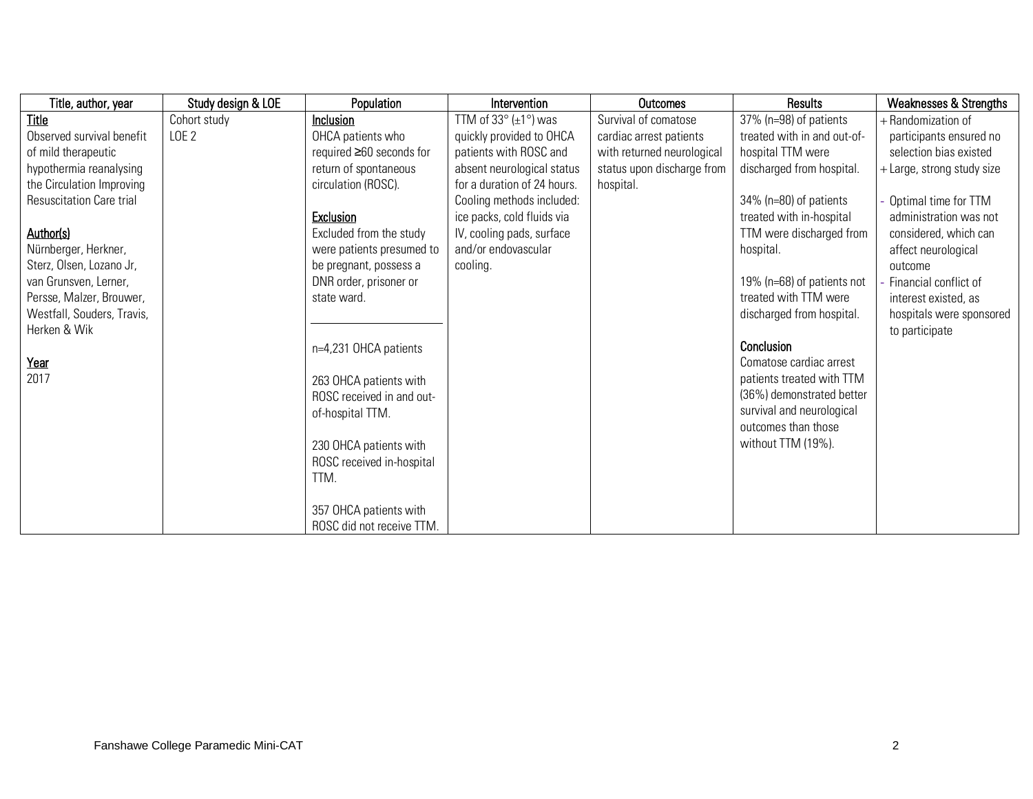| Title, author, year             | Study design & LOE | Population                | Intervention                              | <b>Outcomes</b>            | Results                     | <b>Weaknesses &amp; Strengths</b> |
|---------------------------------|--------------------|---------------------------|-------------------------------------------|----------------------------|-----------------------------|-----------------------------------|
| Title                           | Cohort study       | Inclusion                 | TTM of 33 $\circ$ ( $\pm$ 1 $\circ$ ) was | Survival of comatose       | 37% (n=98) of patients      | + Randomization of                |
| Observed survival benefit       | LOE <sub>2</sub>   | OHCA patients who         | quickly provided to OHCA                  | cardiac arrest patients    | treated with in and out-of- | participants ensured no           |
| of mild therapeutic             |                    | required ≥60 seconds for  | patients with ROSC and                    | with returned neurological | hospital TTM were           | selection bias existed            |
| hypothermia reanalysing         |                    | return of spontaneous     | absent neurological status                | status upon discharge from | discharged from hospital.   | + Large, strong study size        |
| the Circulation Improving       |                    | circulation (ROSC).       | for a duration of 24 hours.               | hospital.                  |                             |                                   |
| <b>Resuscitation Care trial</b> |                    |                           | Cooling methods included:                 |                            | $34\%$ (n=80) of patients   | - Optimal time for TTM            |
|                                 |                    | <b>Exclusion</b>          | ice packs, cold fluids via                |                            | treated with in-hospital    | administration was not            |
| Author(s)                       |                    | Excluded from the study   | IV, cooling pads, surface                 |                            | TTM were discharged from    | considered, which can             |
| Nürnberger, Herkner,            |                    | were patients presumed to | and/or endovascular                       |                            | hospital.                   | affect neurological               |
| Sterz, Olsen, Lozano Jr,        |                    | be pregnant, possess a    | cooling.                                  |                            |                             | outcome                           |
| van Grunsven, Lerner,           |                    | DNR order, prisoner or    |                                           |                            | 19% (n=68) of patients not  | Financial conflict of             |
| Persse, Malzer, Brouwer,        |                    | state ward.               |                                           |                            | treated with TTM were       | interest existed, as              |
| Westfall, Souders, Travis,      |                    |                           |                                           |                            | discharged from hospital.   | hospitals were sponsored          |
| Herken & Wik                    |                    |                           |                                           |                            |                             | to participate                    |
|                                 |                    | n=4,231 OHCA patients     |                                           |                            | Conclusion                  |                                   |
| Year                            |                    |                           |                                           |                            | Comatose cardiac arrest     |                                   |
| 2017                            |                    | 263 OHCA patients with    |                                           |                            | patients treated with TTM   |                                   |
|                                 |                    | ROSC received in and out- |                                           |                            | (36%) demonstrated better   |                                   |
|                                 |                    | of-hospital TTM.          |                                           |                            | survival and neurological   |                                   |
|                                 |                    |                           |                                           |                            | outcomes than those         |                                   |
|                                 |                    | 230 OHCA patients with    |                                           |                            | without TTM (19%).          |                                   |
|                                 |                    | ROSC received in-hospital |                                           |                            |                             |                                   |
|                                 |                    | TTM.                      |                                           |                            |                             |                                   |
|                                 |                    |                           |                                           |                            |                             |                                   |
|                                 |                    | 357 OHCA patients with    |                                           |                            |                             |                                   |
|                                 |                    | ROSC did not receive TTM. |                                           |                            |                             |                                   |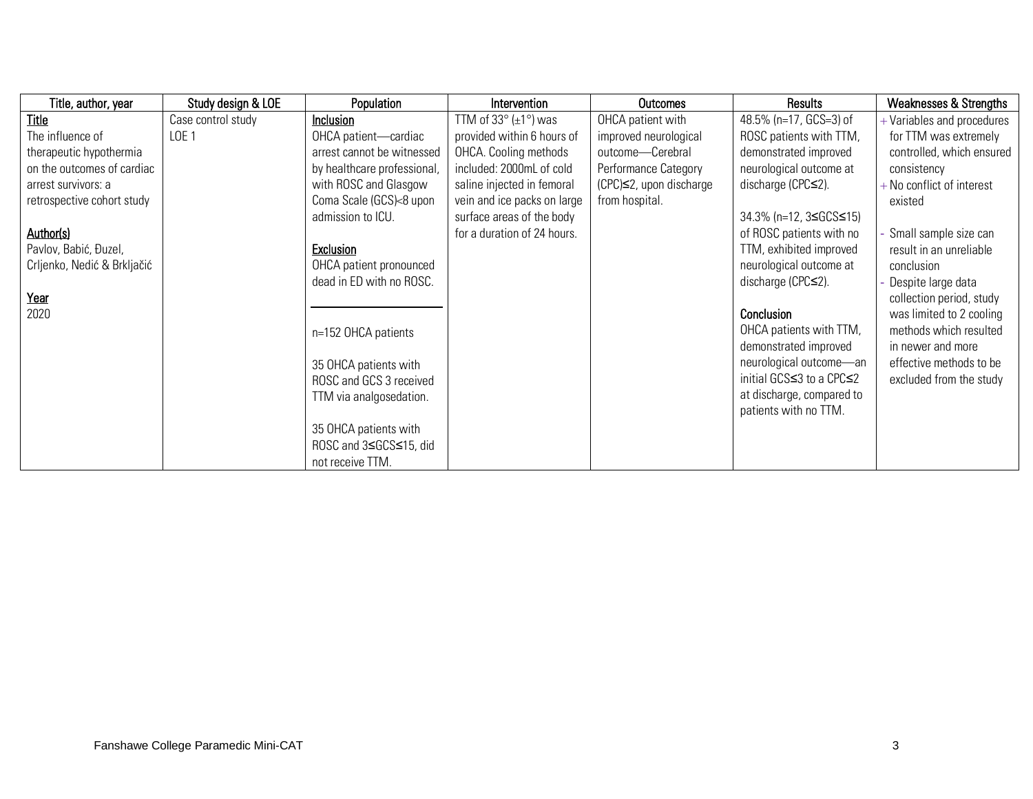| Title, author, year         | Study design & LOE | Population                  | Intervention                | Outcomes                        | Results                     | <b>Weaknesses &amp; Strengths</b> |
|-----------------------------|--------------------|-----------------------------|-----------------------------|---------------------------------|-----------------------------|-----------------------------------|
| Title                       | Case control study | Inclusion                   | TTM of 33° (±1°) was        | OHCA patient with               | 48.5% (n=17, GCS=3) of      | + Variables and procedures        |
| The influence of            | LOE <sub>1</sub>   | OHCA patient-cardiac        | provided within 6 hours of  | improved neurological           | ROSC patients with TTM,     | for TTM was extremely             |
| therapeutic hypothermia     |                    | arrest cannot be witnessed  | OHCA. Cooling methods       | outcome-Cerebral                | demonstrated improved       | controlled, which ensured         |
| on the outcomes of cardiac  |                    | by healthcare professional, | included: 2000mL of cold    | Performance Category            | neurological outcome at     | consistency                       |
| arrest survivors: a         |                    | with ROSC and Glasgow       | saline injected in femoral  | $(CPC) \leq 2$ , upon discharge | discharge (CPC≤2).          | $+$ No conflict of interest       |
| retrospective cohort study  |                    | Coma Scale (GCS)<8 upon     | vein and ice packs on large | from hospital.                  |                             | existed                           |
|                             |                    | admission to ICU.           | surface areas of the body   |                                 | 34.3% (n=12, 3≤GCS≤15)      |                                   |
| Author(s)                   |                    |                             | for a duration of 24 hours. |                                 | of ROSC patients with no    | Small sample size can             |
| Pavlov, Babić, Đuzel,       |                    | <b>Exclusion</b>            |                             |                                 | TTM, exhibited improved     | result in an unreliable           |
| Crljenko, Nedić & Brkljačić |                    | OHCA patient pronounced     |                             |                                 | neurological outcome at     | conclusion                        |
|                             |                    | dead in ED with no ROSC.    |                             |                                 | discharge ( $CPC \leq 2$ ). | Despite large data                |
| Year                        |                    |                             |                             |                                 |                             | collection period, study          |
| 2020                        |                    |                             |                             |                                 | Conclusion                  | was limited to 2 cooling          |
|                             |                    | n=152 OHCA patients         |                             |                                 | OHCA patients with TTM,     | methods which resulted            |
|                             |                    |                             |                             |                                 | demonstrated improved       | in newer and more                 |
|                             |                    | 35 OHCA patients with       |                             |                                 | neurological outcome-an     | effective methods to be           |
|                             |                    | ROSC and GCS 3 received     |                             |                                 | initial GCS≤3 to a CPC≤2    | excluded from the study           |
|                             |                    | TTM via analgosedation.     |                             |                                 | at discharge, compared to   |                                   |
|                             |                    |                             |                             |                                 | patients with no TTM.       |                                   |
|                             |                    | 35 OHCA patients with       |                             |                                 |                             |                                   |
|                             |                    | ROSC and 3≤GCS≤15, did      |                             |                                 |                             |                                   |
|                             |                    | not receive TTM.            |                             |                                 |                             |                                   |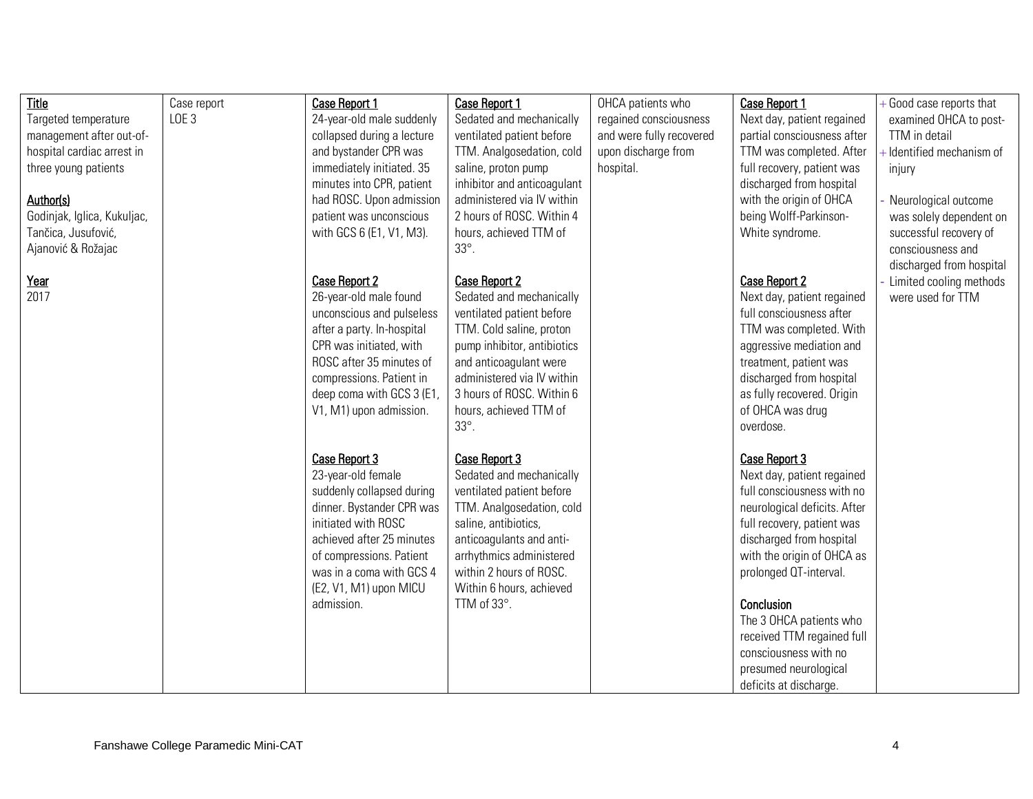| Title                       | Case report      | <b>Case Report 1</b>       | <b>Case Report 1</b>        | OHCA patients who        | <b>Case Report 1</b>         | + Good case reports that  |
|-----------------------------|------------------|----------------------------|-----------------------------|--------------------------|------------------------------|---------------------------|
| Targeted temperature        | LOE <sub>3</sub> | 24-year-old male suddenly  | Sedated and mechanically    | regained consciousness   | Next day, patient regained   | examined OHCA to post-    |
| management after out-of-    |                  | collapsed during a lecture | ventilated patient before   | and were fully recovered | partial consciousness after  | TTM in detail             |
| hospital cardiac arrest in  |                  | and bystander CPR was      | TTM. Analgosedation, cold   | upon discharge from      | TTM was completed. After     | - Identified mechanism of |
| three young patients        |                  | immediately initiated. 35  | saline, proton pump         | hospital.                | full recovery, patient was   | injury                    |
|                             |                  | minutes into CPR, patient  | inhibitor and anticoagulant |                          | discharged from hospital     |                           |
| Author(s)                   |                  | had ROSC. Upon admission   | administered via IV within  |                          | with the origin of OHCA      | Neurological outcome      |
| Godinjak, Iglica, Kukuljac, |                  | patient was unconscious    | 2 hours of ROSC. Within 4   |                          | being Wolff-Parkinson-       | was solely dependent on   |
| Tančica, Jusufović,         |                  | with GCS 6 (E1, V1, M3).   | hours, achieved TTM of      |                          | White syndrome.              | successful recovery of    |
| Ajanović & Rožajac          |                  |                            | 33°.                        |                          |                              | consciousness and         |
|                             |                  |                            |                             |                          |                              | discharged from hospital  |
| Year                        |                  | <b>Case Report 2</b>       | <b>Case Report 2</b>        |                          | <b>Case Report 2</b>         | Limited cooling methods   |
| 2017                        |                  | 26-year-old male found     | Sedated and mechanically    |                          | Next day, patient regained   | were used for TTM         |
|                             |                  | unconscious and pulseless  | ventilated patient before   |                          | full consciousness after     |                           |
|                             |                  | after a party. In-hospital | TTM. Cold saline, proton    |                          | TTM was completed. With      |                           |
|                             |                  | CPR was initiated, with    | pump inhibitor, antibiotics |                          | aggressive mediation and     |                           |
|                             |                  | ROSC after 35 minutes of   | and anticoagulant were      |                          | treatment, patient was       |                           |
|                             |                  | compressions. Patient in   | administered via IV within  |                          | discharged from hospital     |                           |
|                             |                  | deep coma with GCS 3 (E1)  | 3 hours of ROSC. Within 6   |                          | as fully recovered. Origin   |                           |
|                             |                  | V1, M1) upon admission.    | hours, achieved TTM of      |                          | of OHCA was drug             |                           |
|                             |                  |                            | 33°.                        |                          | overdose.                    |                           |
|                             |                  |                            |                             |                          |                              |                           |
|                             |                  | Case Report 3              | Case Report 3               |                          | Case Report 3                |                           |
|                             |                  | 23-year-old female         | Sedated and mechanically    |                          | Next day, patient regained   |                           |
|                             |                  | suddenly collapsed during  | ventilated patient before   |                          | full consciousness with no   |                           |
|                             |                  | dinner. Bystander CPR was  | TTM. Analgosedation, cold   |                          | neurological deficits. After |                           |
|                             |                  | initiated with ROSC        | saline, antibiotics,        |                          | full recovery, patient was   |                           |
|                             |                  | achieved after 25 minutes  | anticoagulants and anti-    |                          | discharged from hospital     |                           |
|                             |                  | of compressions. Patient   | arrhythmics administered    |                          | with the origin of OHCA as   |                           |
|                             |                  | was in a coma with GCS 4   | within 2 hours of ROSC.     |                          | prolonged QT-interval.       |                           |
|                             |                  | (E2, V1, M1) upon MICU     | Within 6 hours, achieved    |                          |                              |                           |
|                             |                  | admission.                 | TTM of 33°.                 |                          | Conclusion                   |                           |
|                             |                  |                            |                             |                          | The 3 OHCA patients who      |                           |
|                             |                  |                            |                             |                          | received TTM regained full   |                           |
|                             |                  |                            |                             |                          | consciousness with no        |                           |
|                             |                  |                            |                             |                          | presumed neurological        |                           |
|                             |                  |                            |                             |                          | deficits at discharge.       |                           |